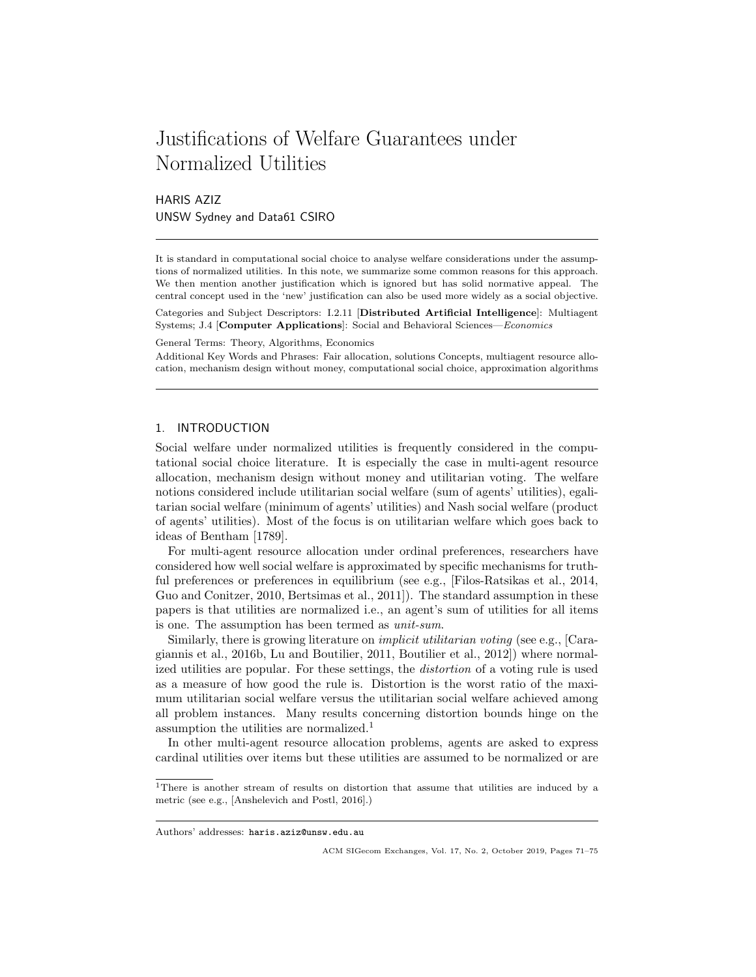# Justifications of Welfare Guarantees under Normalized Utilities

HARIS AZIZ UNSW Sydney and Data61 CSIRO

It is standard in computational social choice to analyse welfare considerations under the assumptions of normalized utilities. In this note, we summarize some common reasons for this approach. We then mention another justification which is ignored but has solid normative appeal. The central concept used in the 'new' justification can also be used more widely as a social objective.

Categories and Subject Descriptors: I.2.11 [Distributed Artificial Intelligence]: Multiagent Systems; J.4 [Computer Applications]: Social and Behavioral Sciences—Economics

General Terms: Theory, Algorithms, Economics

Additional Key Words and Phrases: Fair allocation, solutions Concepts, multiagent resource allocation, mechanism design without money, computational social choice, approximation algorithms

## 1. INTRODUCTION

Social welfare under normalized utilities is frequently considered in the computational social choice literature. It is especially the case in multi-agent resource allocation, mechanism design without money and utilitarian voting. The welfare notions considered include utilitarian social welfare (sum of agents' utilities), egalitarian social welfare (minimum of agents' utilities) and Nash social welfare (product of agents' utilities). Most of the focus is on utilitarian welfare which goes back to ideas of Bentham [1789].

For multi-agent resource allocation under ordinal preferences, researchers have considered how well social welfare is approximated by specific mechanisms for truthful preferences or preferences in equilibrium (see e.g., [Filos-Ratsikas et al., 2014, Guo and Conitzer, 2010, Bertsimas et al., 2011]). The standard assumption in these papers is that utilities are normalized i.e., an agent's sum of utilities for all items is one. The assumption has been termed as unit-sum.

Similarly, there is growing literature on *implicit utilitarian voting* (see e.g., [Caragiannis et al., 2016b, Lu and Boutilier, 2011, Boutilier et al., 2012]) where normalized utilities are popular. For these settings, the distortion of a voting rule is used as a measure of how good the rule is. Distortion is the worst ratio of the maximum utilitarian social welfare versus the utilitarian social welfare achieved among all problem instances. Many results concerning distortion bounds hinge on the assumption the utilities are normalized.<sup>1</sup>

In other multi-agent resource allocation problems, agents are asked to express cardinal utilities over items but these utilities are assumed to be normalized or are

<sup>&</sup>lt;sup>1</sup>There is another stream of results on distortion that assume that utilities are induced by a metric (see e.g., [Anshelevich and Postl, 2016].)

Authors' addresses: haris.aziz@unsw.edu.au

ACM SIGecom Exchanges, Vol. 17, No. 2, October 2019, Pages 71–75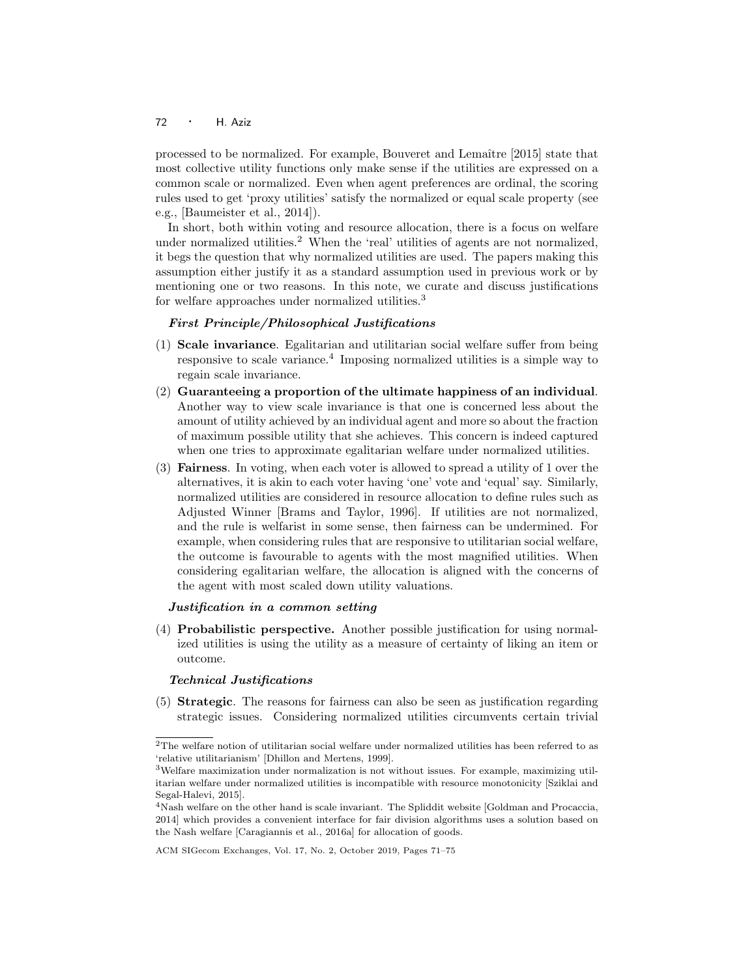## <sup>72</sup> · H. Aziz

processed to be normalized. For example, Bouveret and Lemaître [2015] state that most collective utility functions only make sense if the utilities are expressed on a common scale or normalized. Even when agent preferences are ordinal, the scoring rules used to get 'proxy utilities' satisfy the normalized or equal scale property (see e.g., [Baumeister et al., 2014]).

In short, both within voting and resource allocation, there is a focus on welfare under normalized utilities.<sup>2</sup> When the 'real' utilities of agents are not normalized, it begs the question that why normalized utilities are used. The papers making this assumption either justify it as a standard assumption used in previous work or by mentioning one or two reasons. In this note, we curate and discuss justifications for welfare approaches under normalized utilities.<sup>3</sup>

### First Principle/Philosophical Justifications

- (1) Scale invariance. Egalitarian and utilitarian social welfare suffer from being responsive to scale variance.<sup>4</sup> Imposing normalized utilities is a simple way to regain scale invariance.
- (2) Guaranteeing a proportion of the ultimate happiness of an individual. Another way to view scale invariance is that one is concerned less about the amount of utility achieved by an individual agent and more so about the fraction of maximum possible utility that she achieves. This concern is indeed captured when one tries to approximate egalitarian welfare under normalized utilities.
- (3) Fairness. In voting, when each voter is allowed to spread a utility of 1 over the alternatives, it is akin to each voter having 'one' vote and 'equal' say. Similarly, normalized utilities are considered in resource allocation to define rules such as Adjusted Winner [Brams and Taylor, 1996]. If utilities are not normalized, and the rule is welfarist in some sense, then fairness can be undermined. For example, when considering rules that are responsive to utilitarian social welfare, the outcome is favourable to agents with the most magnified utilities. When considering egalitarian welfare, the allocation is aligned with the concerns of the agent with most scaled down utility valuations.

#### Justification in a common setting

(4) Probabilistic perspective. Another possible justification for using normalized utilities is using the utility as a measure of certainty of liking an item or outcome.

### Technical Justifications

(5) Strategic. The reasons for fairness can also be seen as justification regarding strategic issues. Considering normalized utilities circumvents certain trivial

 $^{2}{\rm The}$  welfare notion of utilitarian social welfare under normalized utilities has been referred to as 'relative utilitarianism' [Dhillon and Mertens, 1999].

<sup>3</sup>Welfare maximization under normalization is not without issues. For example, maximizing utilitarian welfare under normalized utilities is incompatible with resource monotonicity [Sziklai and Segal-Halevi, 2015].

<sup>4</sup>Nash welfare on the other hand is scale invariant. The Spliddit website [Goldman and Procaccia, 2014] which provides a convenient interface for fair division algorithms uses a solution based on the Nash welfare [Caragiannis et al., 2016a] for allocation of goods.

ACM SIGecom Exchanges, Vol. 17, No. 2, October 2019, Pages 71–75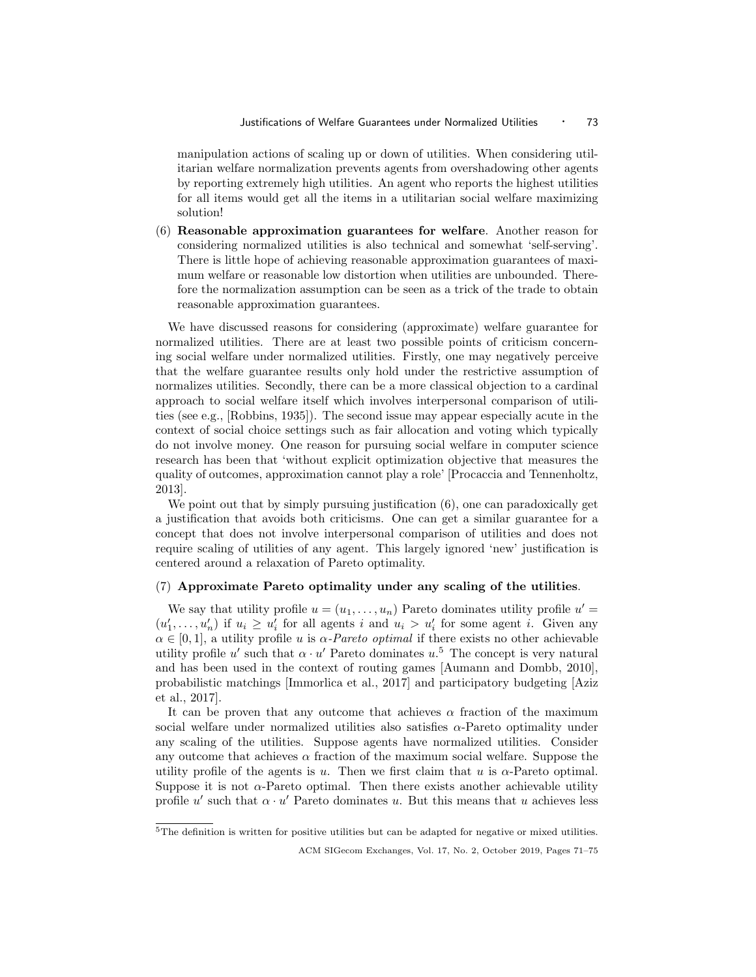manipulation actions of scaling up or down of utilities. When considering utilitarian welfare normalization prevents agents from overshadowing other agents by reporting extremely high utilities. An agent who reports the highest utilities for all items would get all the items in a utilitarian social welfare maximizing solution!

(6) Reasonable approximation guarantees for welfare. Another reason for considering normalized utilities is also technical and somewhat 'self-serving'. There is little hope of achieving reasonable approximation guarantees of maximum welfare or reasonable low distortion when utilities are unbounded. Therefore the normalization assumption can be seen as a trick of the trade to obtain reasonable approximation guarantees.

We have discussed reasons for considering (approximate) welfare guarantee for normalized utilities. There are at least two possible points of criticism concerning social welfare under normalized utilities. Firstly, one may negatively perceive that the welfare guarantee results only hold under the restrictive assumption of normalizes utilities. Secondly, there can be a more classical objection to a cardinal approach to social welfare itself which involves interpersonal comparison of utilities (see e.g., [Robbins, 1935]). The second issue may appear especially acute in the context of social choice settings such as fair allocation and voting which typically do not involve money. One reason for pursuing social welfare in computer science research has been that 'without explicit optimization objective that measures the quality of outcomes, approximation cannot play a role' [Procaccia and Tennenholtz, 2013].

We point out that by simply pursuing justification  $(6)$ , one can paradoxically get a justification that avoids both criticisms. One can get a similar guarantee for a concept that does not involve interpersonal comparison of utilities and does not require scaling of utilities of any agent. This largely ignored 'new' justification is centered around a relaxation of Pareto optimality.

## (7) Approximate Pareto optimality under any scaling of the utilities.

We say that utility profile  $u = (u_1, \ldots, u_n)$  Pareto dominates utility profile  $u' =$  $(u'_1, \ldots, u'_n)$  if  $u_i \geq u'_i$  for all agents i and  $u_i > u'_i$  for some agent i. Given any  $\alpha \in [0,1]$ , a utility profile u is  $\alpha$ -Pareto optimal if there exists no other achievable utility profile u' such that  $\alpha \cdot u'$  Pareto dominates  $u^5$ . The concept is very natural and has been used in the context of routing games [Aumann and Dombb, 2010], probabilistic matchings [Immorlica et al., 2017] and participatory budgeting [Aziz et al., 2017].

It can be proven that any outcome that achieves  $\alpha$  fraction of the maximum social welfare under normalized utilities also satisfies  $\alpha$ -Pareto optimality under any scaling of the utilities. Suppose agents have normalized utilities. Consider any outcome that achieves  $\alpha$  fraction of the maximum social welfare. Suppose the utility profile of the agents is u. Then we first claim that u is  $\alpha$ -Pareto optimal. Suppose it is not  $\alpha$ -Pareto optimal. Then there exists another achievable utility profile u' such that  $\alpha \cdot u'$  Pareto dominates u. But this means that u achieves less

 $5$ The definition is written for positive utilities but can be adapted for negative or mixed utilities.

ACM SIGecom Exchanges, Vol. 17, No. 2, October 2019, Pages 71–75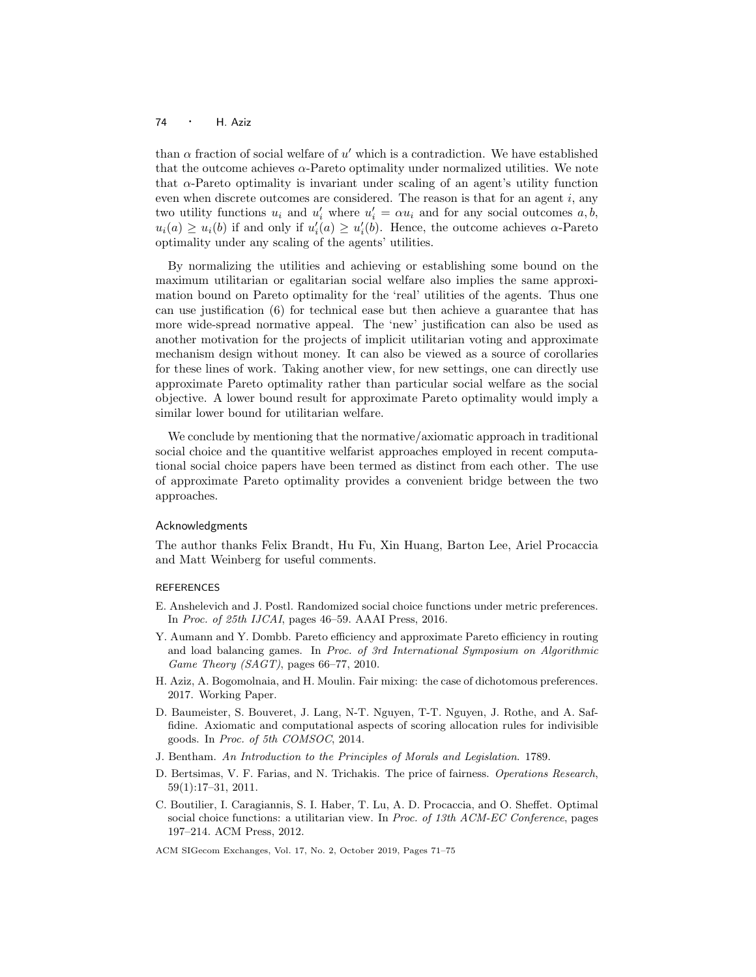### <sup>74</sup> · H. Aziz

than  $\alpha$  fraction of social welfare of u' which is a contradiction. We have established that the outcome achieves  $\alpha$ -Pareto optimality under normalized utilities. We note that  $\alpha$ -Pareto optimality is invariant under scaling of an agent's utility function even when discrete outcomes are considered. The reason is that for an agent  $i$ , any two utility functions  $u_i$  and  $u'_i$  where  $u'_i = \alpha u_i$  and for any social outcomes  $a, b$ ,  $u_i(a) \ge u_i(b)$  if and only if  $u'_i(a) \ge u'_i(b)$ . Hence, the outcome achieves  $\alpha$ -Pareto optimality under any scaling of the agents' utilities.

By normalizing the utilities and achieving or establishing some bound on the maximum utilitarian or egalitarian social welfare also implies the same approximation bound on Pareto optimality for the 'real' utilities of the agents. Thus one can use justification (6) for technical ease but then achieve a guarantee that has more wide-spread normative appeal. The 'new' justification can also be used as another motivation for the projects of implicit utilitarian voting and approximate mechanism design without money. It can also be viewed as a source of corollaries for these lines of work. Taking another view, for new settings, one can directly use approximate Pareto optimality rather than particular social welfare as the social objective. A lower bound result for approximate Pareto optimality would imply a similar lower bound for utilitarian welfare.

We conclude by mentioning that the normative/axiomatic approach in traditional social choice and the quantitive welfarist approaches employed in recent computational social choice papers have been termed as distinct from each other. The use of approximate Pareto optimality provides a convenient bridge between the two approaches.

#### Acknowledgments

The author thanks Felix Brandt, Hu Fu, Xin Huang, Barton Lee, Ariel Procaccia and Matt Weinberg for useful comments.

## **REFERENCES**

- E. Anshelevich and J. Postl. Randomized social choice functions under metric preferences. In Proc. of 25th IJCAI, pages 46–59. AAAI Press, 2016.
- Y. Aumann and Y. Dombb. Pareto efficiency and approximate Pareto efficiency in routing and load balancing games. In Proc. of 3rd International Symposium on Algorithmic Game Theory (SAGT), pages 66–77, 2010.
- H. Aziz, A. Bogomolnaia, and H. Moulin. Fair mixing: the case of dichotomous preferences. 2017. Working Paper.
- D. Baumeister, S. Bouveret, J. Lang, N-T. Nguyen, T-T. Nguyen, J. Rothe, and A. Saffidine. Axiomatic and computational aspects of scoring allocation rules for indivisible goods. In Proc. of 5th COMSOC, 2014.
- J. Bentham. An Introduction to the Principles of Morals and Legislation. 1789.
- D. Bertsimas, V. F. Farias, and N. Trichakis. The price of fairness. Operations Research, 59(1):17–31, 2011.
- C. Boutilier, I. Caragiannis, S. I. Haber, T. Lu, A. D. Procaccia, and O. Sheffet. Optimal social choice functions: a utilitarian view. In Proc. of 13th ACM-EC Conference, pages 197–214. ACM Press, 2012.

ACM SIGecom Exchanges, Vol. 17, No. 2, October 2019, Pages 71–75